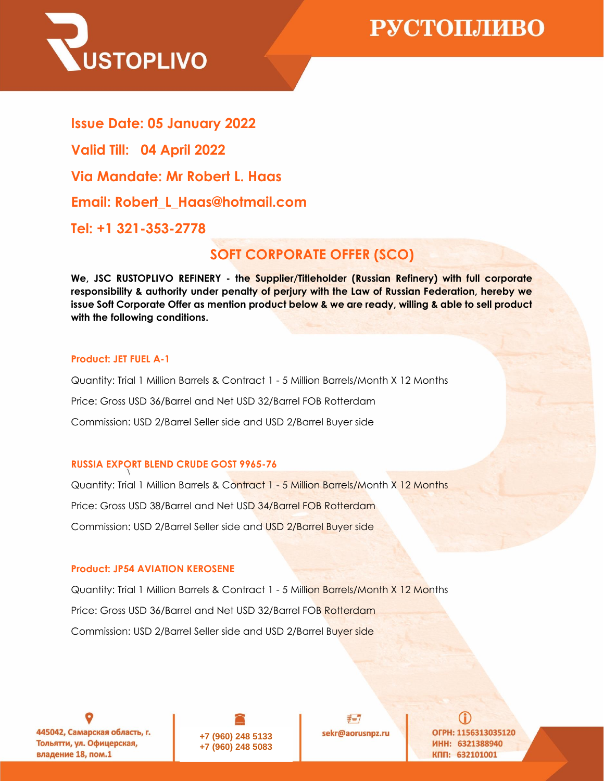

**Via Mandate: Mr Robert L. Haas Email: Robert\_L\_Haas@hotmail.com Tel: +1 321-353-2778 Issue Date: 05 January 2022 Valid Till: 04 April 2022**

## **SOFT CORPORATE OFFER (SCO)**

**We, JSC RUSTOPLIVO REFINERY - the Supplier/Titleholder (Russian Refinery) with full corporate responsibility & authority under penalty of perjury with the Law of Russian Federation, hereby we issue Soft Corporate Offer as mention product below & we are ready, willing & able to sell product with the following conditions.**

### **Product: JET FUEL A-1**

Quantity: Trial 1 Million Barrels & Contract 1 - 5 Million Barrels/Month X 12 Months Price: Gross USD 36/Barrel and Net USD 32/Barrel FOB Rotterdam Commission: USD 2/Barrel Seller side and USD 2/Barrel Buyer side

### **RUSSIA EXPORT BLEND CRUDE GOST 9965-76**

Quantity: Trial 1 Million Barrels & Contract 1 - 5 Million Barrels/Month X 12 Months Price: Gross USD 38/Barrel and Net USD 34/Barrel FOB Rotterdam Commission: USD 2/Barrel Seller side and USD 2/Barrel Buyer side

### **Product: JP54 AVIATION KEROSENE**

Quantity: Trial 1 Million Barrels & Contract 1 - 5 Million Barrels/Month X 12 Months Price: Gross USD 36/Barrel and Net USD 32/Barrel FOB Rotterdam Commission: USD 2/Barrel Seller side and USD 2/Barrel Buyer side

445042, Самарская область, г. Тольятти, ул. Офицерская, владение 18, пом.1



 $\not\equiv = \nabla$ sekr@aorusnpz.ru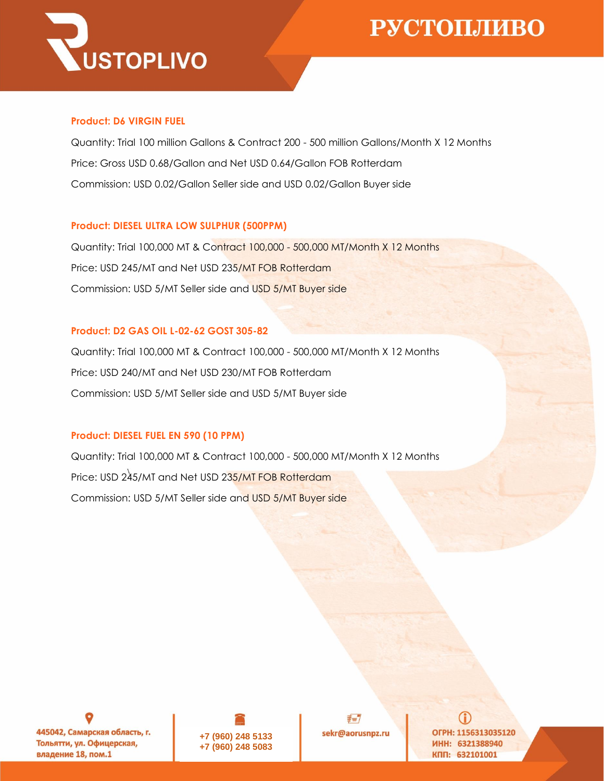

### **Product: D6 VIRGIN FUEL**

Quantity: Trial 100 million Gallons & Contract 200 - 500 million Gallons/Month X 12 Months Price: Gross USD 0.68/Gallon and Net USD 0.64/Gallon FOB Rotterdam Commission: USD 0.02/Gallon Seller side and USD 0.02/Gallon Buyer side

## **Product: DIESEL ULTRA LOW SULPHUR (500PPM)**

Quantity: Trial 100,000 MT & Contract 100,000 - 500,000 MT/Month X 12 Months Price: USD 245/MT and Net USD 235/MT FOB Rotterdam Commission: USD 5/MT Seller side and USD 5/MT Buyer side

## **Product: D2 GAS OIL L-02-62 GOST 305-82**

Quantity: Trial 100,000 MT & Contract 100,000 - 500,000 MT/Month X 12 Months Price: USD 240/MT and Net USD 230/MT FOB Rotterdam Commission: USD 5/MT Seller side and USD 5/MT Buyer side

## **Product: DIESEL FUEL EN 590 (10 PPM)**

Quantity: Trial 100,000 MT & Contract 100,000 - 500,000 MT/Month X 12 Months Price: USD 245/MT and Net USD 235/MT FOB Rotterdam Commission: USD 5/MT Seller side and USD 5/MT Buyer side

445042, Самарская область, г. Тольятти, ул. Офицерская, владение 18, пом.1



 $\not\equiv = \nabla$ sekr@aorusnpz.ru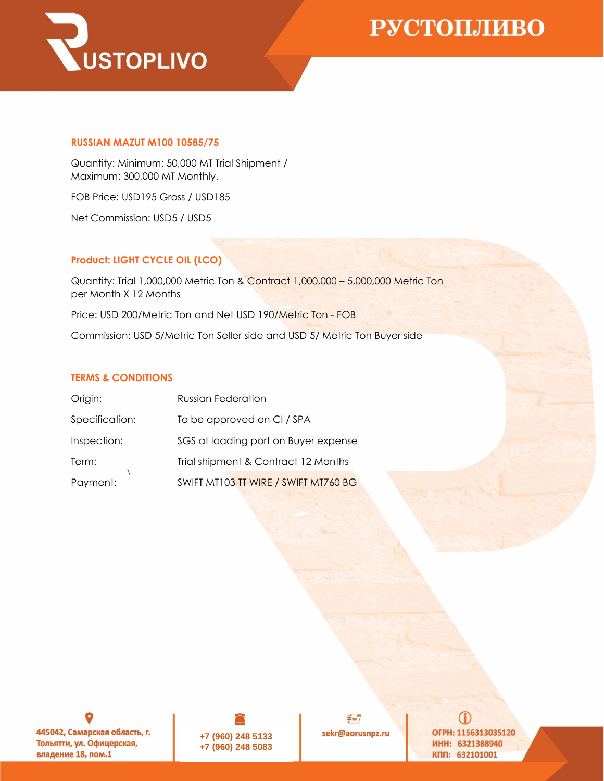

#### **RUSSIAN MAZUT M100 10585/75**

Quantity: Minimum: 50,000 MT Trial Shipment / Maximum: 300,000 MT Monthly.

FOB Price: USD195 Gross / USD185

Net Commission: USD5 / USD5

### **Product: LIGHT CYCLE OIL (LCO)**

Quantity: Trial 1,000,000 Metric Ton & Contract 1,000,000 – 5,000,000 Metric Ton per Month X 12 Months Price: USD 200/Metric Ton and Net USD 190/Metric Ton - FOB Commission: USD 5/Metric Ton Seller side and USD 5/ Metric Ton Buyer side

#### **TERMS & CONDITIONS**

| Origin:        | <b>Russian Federation</b>            |
|----------------|--------------------------------------|
| Specification: | To be approved on CI / SPA           |
| Inspection:    | SGS at loading port on Buyer expense |
| Term:          | Trial shipment & Contract 12 Months  |
| Payment:       | SWIFT MT103 TT WIRE / SWIFT MT760 BG |

445042, Самарская область, г. Тольятти, ул. Офицерская, владение 18, пом.1



 $\n \n \not \equiv = 7$ sekr@aorusnpz.ru